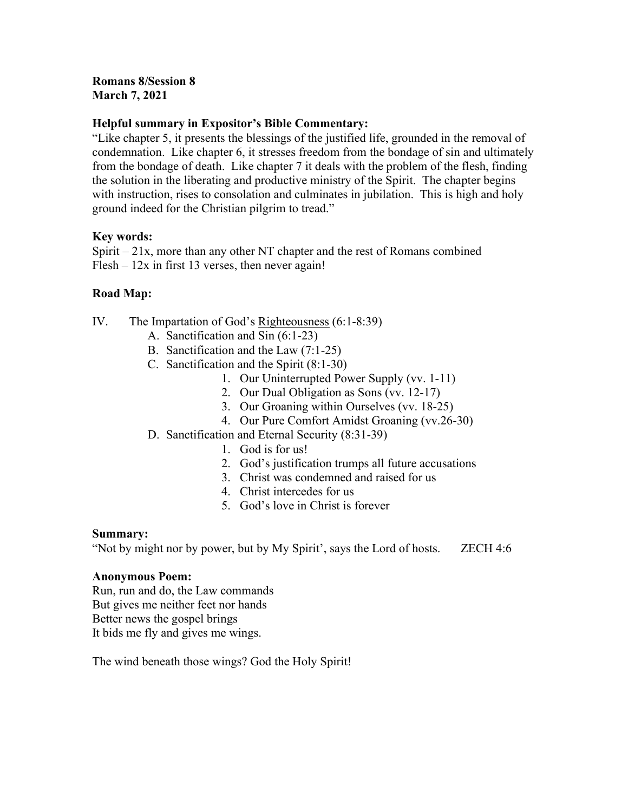## Romans 8/Session 8 March 7, 2021

## Helpful summary in Expositor's Bible Commentary:

"Like chapter 5, it presents the blessings of the justified life, grounded in the removal of condemnation. Like chapter 6, it stresses freedom from the bondage of sin and ultimately from the bondage of death. Like chapter 7 it deals with the problem of the flesh, finding the solution in the liberating and productive ministry of the Spirit. The chapter begins with instruction, rises to consolation and culminates in jubilation. This is high and holy ground indeed for the Christian pilgrim to tread."

## Key words:

Spirit  $-21x$ , more than any other NT chapter and the rest of Romans combined  $Flesh - 12x$  in first 13 verses, then never again!

## Road Map:

- IV. The Impartation of God's Righteousness (6:1-8:39)
	- A. Sanctification and Sin (6:1-23)
	- B. Sanctification and the Law (7:1-25)
	- C. Sanctification and the Spirit (8:1-30)
		- 1. Our Uninterrupted Power Supply (vv. 1-11)
		- 2. Our Dual Obligation as Sons (vv. 12-17)
		- 3. Our Groaning within Ourselves (vv. 18-25)
		- 4. Our Pure Comfort Amidst Groaning (vv.26-30)
	- D. Sanctification and Eternal Security (8:31-39)
		- 1. God is for us!
		- 2. God's justification trumps all future accusations
		- 3. Christ was condemned and raised for us
		- 4. Christ intercedes for us
		- 5. God's love in Christ is forever

## Summary:

"Not by might nor by power, but by My Spirit', says the Lord of hosts. ZECH 4:6

## Anonymous Poem:

Run, run and do, the Law commands But gives me neither feet nor hands Better news the gospel brings It bids me fly and gives me wings.

The wind beneath those wings? God the Holy Spirit!